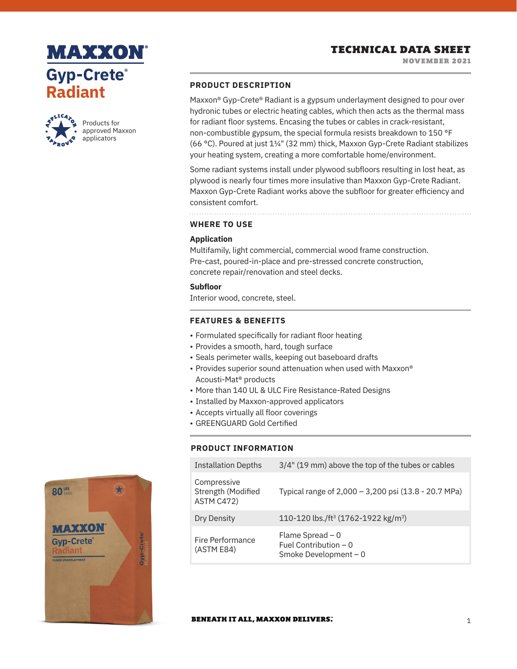# **MAXXON Gyp-Crete® Radiant**



Products for approved Maxxon applicators

### **PRODUCT DESCRIPTION**

Maxxon® Gyp-Crete® Radiant is a gypsum underlayment designed to pour over hydronic tubes or electric heating cables, which then acts as the thermal mass for radiant floor systems. Encasing the tubes or cables in crack-resistant, non-combustible gypsum, the special formula resists breakdown to 150 °F (66 °C). Poured at just 11/4" (32 mm) thick, Maxxon Gyp-Crete Radiant stabilizes your heating system, creating a more comfortable home/environment.

Some radiant systems install under plywood subfloors resulting in lost heat, as plywood is nearly four times more insulative than Maxxon Gyp-Crete Radiant. Maxxon Gyp-Crete Radiant works above the subfloor for greater efficiency and consistent comfort.

**WHERE TO USE**

# **Application**

Multifamily, light commercial, commercial wood frame construction. Pre-cast, poured-in-place and pre-stressed concrete construction, concrete repair/renovation and steel decks.

### **Subfloor**

Interior wood, concrete, steel.

### **FEATURES & BENEFITS**

- Formulated specifically for radiant floor heating
- Provides a smooth, hard, tough surface
- Seals perimeter walls, keeping out baseboard drafts
- Provides superior sound attenuation when used with Maxxon® Acousti-Mat® products
- More than 140 UL & ULC Fire Resistance-Rated Designs
- Installed by Maxxon-approved applicators
- Accepts virtually all floor coverings
- GREENGUARD Gold Certified

### **PRODUCT INFORMATION**

| <b>Installation Depths</b>                      | 3/4" (19 mm) above the top of the tubes or cables                    |
|-------------------------------------------------|----------------------------------------------------------------------|
| Compressive<br>Strength (Modified<br>ASTM C472) | Typical range of 2,000 - 3,200 psi (13.8 - 20.7 MPa)                 |
| Dry Density                                     | 110-120 lbs./ft <sup>3</sup> (1762-1922 kg/m <sup>3</sup> )          |
| Fire Performance<br>(ASTM E84)                  | Flame Spread $-0$<br>Fuel Contribution $-0$<br>Smoke Development - 0 |



#### **BENEATH IT ALL, MAXXON DELIVERS.**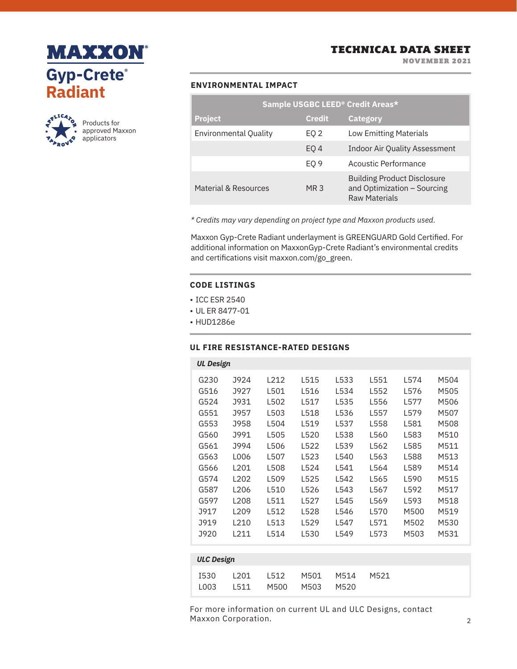



Products for approved Maxxon applicators

# TECHNICAL DATA SHEET

NOVEMBER 2021

### **ENVIRONMENTAL IMPACT**

| Sample USGBC LEED <sup>®</sup> Credit Areas* |                 |                                                                                           |  |  |  |  |  |
|----------------------------------------------|-----------------|-------------------------------------------------------------------------------------------|--|--|--|--|--|
| <b>Project</b>                               | <b>Credit</b>   | <b>Category</b>                                                                           |  |  |  |  |  |
| <b>Environmental Quality</b>                 | EQ 2            | <b>Low Emitting Materials</b>                                                             |  |  |  |  |  |
|                                              | EO <sub>4</sub> | <b>Indoor Air Quality Assessment</b>                                                      |  |  |  |  |  |
|                                              | EO <sub>9</sub> | Acoustic Performance                                                                      |  |  |  |  |  |
| Material & Resources                         | MR 3            | <b>Building Product Disclosure</b><br>and Optimization - Sourcing<br><b>Raw Materials</b> |  |  |  |  |  |

*\* Credits may vary depending on project type and Maxxon products used.*

Maxxon Gyp-Crete Radiant underlayment is GREENGUARD Gold Certified. For additional information on MaxxonGyp-Crete Radiant's environmental credits and certifications visit maxxon.com/go\_green.

### **CODE LISTINGS**

- ICC ESR 2540
- UL ER 8477-01
- HUD1286e

L003

L511

### **UL FIRE RESISTANCE-RATED DESIGNS**

| <b>UL Design</b>  |                                      |                                             |                                      |                                      |                                      |                                      |                                      |                                      |  |  |  |
|-------------------|--------------------------------------|---------------------------------------------|--------------------------------------|--------------------------------------|--------------------------------------|--------------------------------------|--------------------------------------|--------------------------------------|--|--|--|
|                   | G230<br>G516<br>G524<br>G551<br>G553 | J924<br>J927<br><b>J931</b><br>J957<br>J958 | L212<br>L501<br>L502<br>L503<br>L504 | L515<br>L516<br>L517<br>L518<br>L519 | L533<br>L534<br>L535<br>L536<br>L537 | L551<br>L552<br>L556<br>L557<br>L558 | L574<br>L576<br>L577<br>L579<br>L581 | M504<br>M505<br>M506<br>M507<br>M508 |  |  |  |
|                   | G560<br>G561                         | J991<br>J994                                | L505<br>L506                         | L520<br>L522                         | L538<br>L539                         | L560<br>L562                         | L583<br>L585                         | M510<br>M511                         |  |  |  |
|                   | G563                                 | L006                                        | L507                                 | L523                                 | L540                                 | L563                                 | L588                                 | M513                                 |  |  |  |
|                   | G566                                 | L <sub>201</sub>                            | L508                                 | L524                                 | L541                                 | L564                                 | L589                                 | M514                                 |  |  |  |
|                   | G574                                 | L <sub>202</sub>                            | L509                                 | L525                                 | L542                                 | L565                                 | L590                                 | M515                                 |  |  |  |
|                   | G587                                 | L206                                        | L510                                 | L526                                 | L543                                 | L567                                 | L592                                 | M517                                 |  |  |  |
|                   | G597                                 | L <sub>208</sub>                            | L511                                 | L527                                 | L545                                 | L569                                 | L593                                 | M518                                 |  |  |  |
|                   | <b>J917</b>                          | L <sub>209</sub>                            | L512                                 | L528                                 | L546                                 | L570                                 | M500                                 | M519                                 |  |  |  |
|                   | <b>J919</b>                          | L210                                        | L513                                 | L529                                 | L547                                 | L571                                 | M502                                 | M530                                 |  |  |  |
|                   | J920                                 | L211                                        | L514                                 | L530                                 | L549                                 | L573                                 | M503                                 | M531                                 |  |  |  |
|                   |                                      |                                             |                                      |                                      |                                      |                                      |                                      |                                      |  |  |  |
| <b>ULC Design</b> |                                      |                                             |                                      |                                      |                                      |                                      |                                      |                                      |  |  |  |
|                   | <b>I530</b>                          | L201                                        | L512                                 | M501                                 | M514                                 | M521                                 |                                      |                                      |  |  |  |

M520

For more information on current UL and ULC Designs, contact Maxxon Corporation.

M500 M503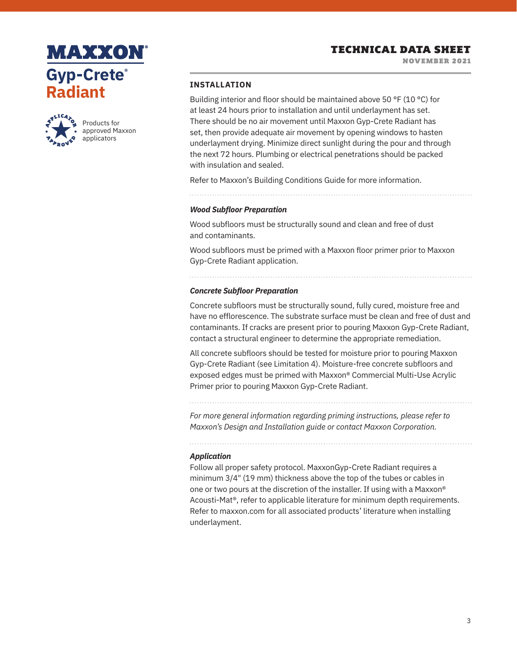NOVEMBER 2021

# **MAXXON Gyp-Crete® Radiant**



Products for approved Maxxon applicators

### **INSTALLATION**

Building interior and floor should be maintained above 50 °F (10 °C) for at least 24 hours prior to installation and until underlayment has set. There should be no air movement until Maxxon Gyp-Crete Radiant has set, then provide adequate air movement by opening windows to hasten underlayment drying. Minimize direct sunlight during the pour and through the next 72 hours. Plumbing or electrical penetrations should be packed with insulation and sealed.

Refer to Maxxon's Building Conditions Guide for more information.

### *Wood Subfloor Preparation*

Wood subfloors must be structurally sound and clean and free of dust and contaminants.

Wood subfloors must be primed with a Maxxon floor primer prior to Maxxon Gyp-Crete Radiant application.

#### *Concrete Subfloor Preparation*

Concrete subfloors must be structurally sound, fully cured, moisture free and have no efflorescence. The substrate surface must be clean and free of dust and contaminants. If cracks are present prior to pouring Maxxon Gyp-Crete Radiant, contact a structural engineer to determine the appropriate remediation.

All concrete subfloors should be tested for moisture prior to pouring Maxxon Gyp-Crete Radiant (see Limitation 4). Moisture-free concrete subfloors and exposed edges must be primed with Maxxon® Commercial Multi-Use Acrylic Primer prior to pouring Maxxon Gyp-Crete Radiant.

*For more general information regarding priming instructions, please refer to Maxxon's Design and Installation guide or contact Maxxon Corporation.*

### *Application*

Follow all proper safety protocol. MaxxonGyp-Crete Radiant requires a minimum 3/4" (19 mm) thickness above the top of the tubes or cables in one or two pours at the discretion of the installer. If using with a Maxxon® Acousti-Mat®, refer to applicable literature for minimum depth requirements. Refer to maxxon.com for all associated products' literature when installing underlayment.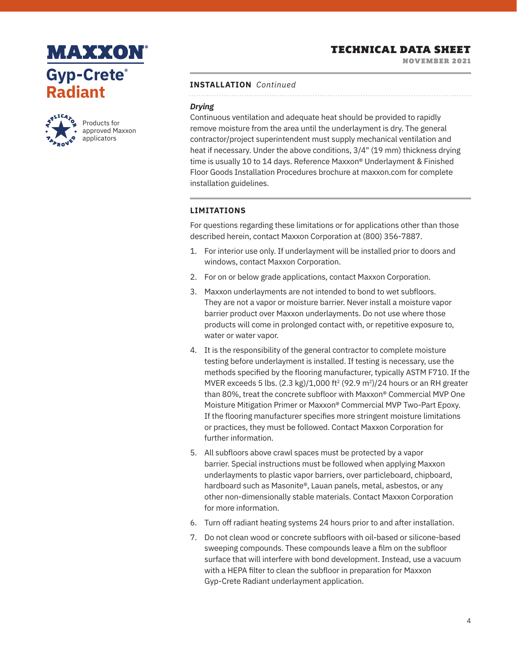NOVEMBER 2021

# **MAXXON Gyp-Crete® Radiant**



Products for approved Maxxon applicators

#### **INSTALLATION** *Continued*

## *Drying*

Continuous ventilation and adequate heat should be provided to rapidly remove moisture from the area until the underlayment is dry. The general contractor/project superintendent must supply mechanical ventilation and heat if necessary. Under the above conditions, 3/4" (19 mm) thickness drying time is usually 10 to 14 days. Reference Maxxon® Underlayment & Finished Floor Goods Installation Procedures brochure at maxxon.com for complete installation guidelines.

### **LIMITATIONS**

For questions regarding these limitations or for applications other than those described herein, contact Maxxon Corporation at (800) 356-7887.

- 1. For interior use only. If underlayment will be installed prior to doors and windows, contact Maxxon Corporation.
- 2. For on or below grade applications, contact Maxxon Corporation.
- 3. Maxxon underlayments are not intended to bond to wet subfloors. They are not a vapor or moisture barrier. Never install a moisture vapor barrier product over Maxxon underlayments. Do not use where those products will come in prolonged contact with, or repetitive exposure to, water or water vapor.
- 4. It is the responsibility of the general contractor to complete moisture testing before underlayment is installed. If testing is necessary, use the methods specified by the flooring manufacturer, typically ASTM F710. If the MVER exceeds 5 lbs.  $(2.3 \text{ kg})/1,000 \text{ ft}^2 (92.9 \text{ m}^2)/24$  hours or an RH greater than 80%, treat the concrete subfloor with Maxxon® Commercial MVP One Moisture Mitigation Primer or Maxxon® Commercial MVP Two-Part Epoxy. If the flooring manufacturer specifies more stringent moisture limitations or practices, they must be followed. Contact Maxxon Corporation for further information.
- 5. All subfloors above crawl spaces must be protected by a vapor barrier. Special instructions must be followed when applying Maxxon underlayments to plastic vapor barriers, over particleboard, chipboard, hardboard such as Masonite®, Lauan panels, metal, asbestos, or any other non-dimensionally stable materials. Contact Maxxon Corporation for more information.
- 6. Turn off radiant heating systems 24 hours prior to and after installation.
- 7. Do not clean wood or concrete subfloors with oil-based or silicone-based sweeping compounds. These compounds leave a film on the subfloor surface that will interfere with bond development. Instead, use a vacuum with a HEPA filter to clean the subfloor in preparation for Maxxon Gyp-Crete Radiant underlayment application.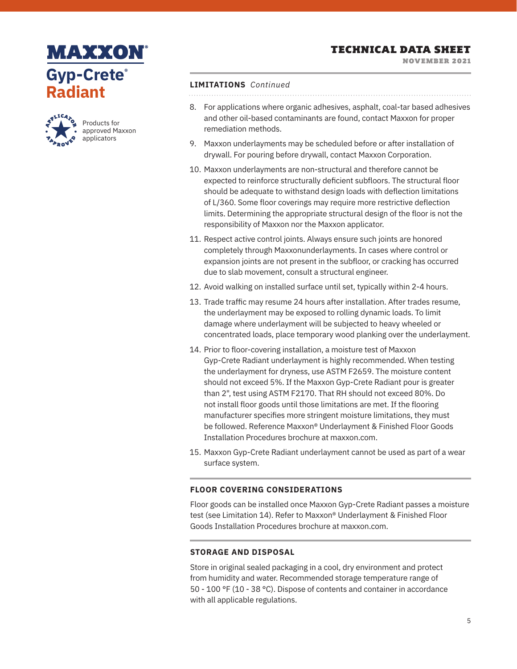NOVEMBER 2021

# **MAXXON Gyp-Crete® Radiant**



Products for approved Maxxon applicators

### **LIMITATIONS** *Continued*

- 8. For applications where organic adhesives, asphalt, coal-tar based adhesives and other oil-based contaminants are found, contact Maxxon for proper remediation methods.
- 9. Maxxon underlayments may be scheduled before or after installation of drywall. For pouring before drywall, contact Maxxon Corporation.
- 10. Maxxon underlayments are non-structural and therefore cannot be expected to reinforce structurally deficient subfloors. The structural floor should be adequate to withstand design loads with deflection limitations of L/360. Some floor coverings may require more restrictive deflection limits. Determining the appropriate structural design of the floor is not the responsibility of Maxxon nor the Maxxon applicator.
- 11. Respect active control joints. Always ensure such joints are honored completely through Maxxonunderlayments. In cases where control or expansion joints are not present in the subfloor, or cracking has occurred due to slab movement, consult a structural engineer.
- 12. Avoid walking on installed surface until set, typically within 2-4 hours.
- 13. Trade traffic may resume 24 hours after installation. After trades resume, the underlayment may be exposed to rolling dynamic loads. To limit damage where underlayment will be subjected to heavy wheeled or concentrated loads, place temporary wood planking over the underlayment.
- 14. Prior to floor-covering installation, a moisture test of Maxxon Gyp-Crete Radiant underlayment is highly recommended. When testing the underlayment for dryness, use ASTM F2659. The moisture content should not exceed 5%. If the Maxxon Gyp-Crete Radiant pour is greater than 2", test using ASTM F2170. That RH should not exceed 80%. Do not install floor goods until those limitations are met. If the flooring manufacturer specifies more stringent moisture limitations, they must be followed. Reference Maxxon® Underlayment & Finished Floor Goods Installation Procedures brochure at maxxon.com.
- 15. Maxxon Gyp-Crete Radiant underlayment cannot be used as part of a wear surface system.

## **FLOOR COVERING CONSIDERATIONS**

Floor goods can be installed once Maxxon Gyp-Crete Radiant passes a moisture test (see Limitation 14). Refer to Maxxon® Underlayment & Finished Floor Goods Installation Procedures brochure at maxxon.com.

## **STORAGE AND DISPOSAL**

Store in original sealed packaging in a cool, dry environment and protect from humidity and water. Recommended storage temperature range of 50 - 100 °F (10 - 38 °C). Dispose of contents and container in accordance with all applicable regulations.